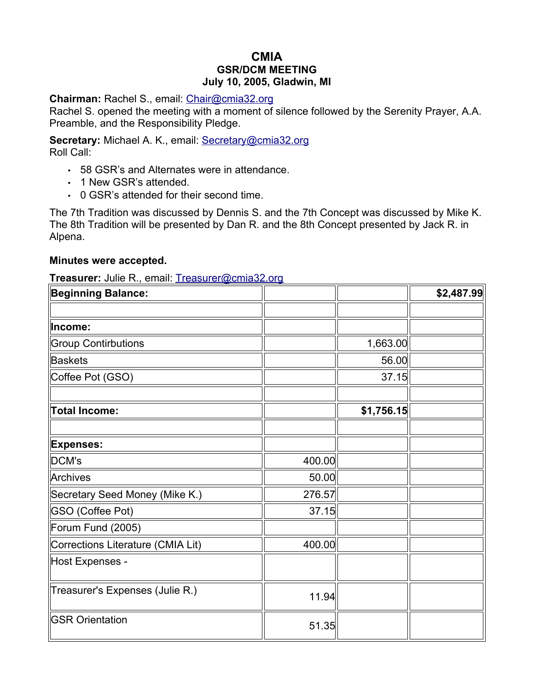## **CMIA GSR/DCM MEETING July 10, 2005, Gladwin, MI**

**Chairman:** Rachel S., email: [Chair@cmia32.org](mailto:Chair@cmia32.org)

Rachel S. opened the meeting with a moment of silence followed by the Serenity Prayer, A.A. Preamble, and the Responsibility Pledge.

**Secretary:** Michael A. K., email: [Secretary@cmia32.org](mailto:Secretary@cmia32.org) Roll Call:

- 58 GSR's and Alternates were in attendance.
- 1 New GSR's attended.
- 0 GSR's attended for their second time.

The 7th Tradition was discussed by Dennis S. and the 7th Concept was discussed by Mike K. The 8th Tradition will be presented by Dan R. and the 8th Concept presented by Jack R. in Alpena.

## **Minutes were accepted.**

**Treasurer:** Julie R., email: [Treasurer@cmia32.org](mailto:Treasurer@cmia32.org)

| <b>Beginning Balance:</b>         |        |            | \$2,487.99 |
|-----------------------------------|--------|------------|------------|
|                                   |        |            |            |
| Income:                           |        |            |            |
| <b>Group Contirbutions</b>        |        | 1,663.00   |            |
| <b>Baskets</b>                    |        | 56.00      |            |
| Coffee Pot (GSO)                  |        | 37.15      |            |
| <b>Total Income:</b>              |        | \$1,756.15 |            |
| <b>Expenses:</b>                  |        |            |            |
| DCM's                             | 400.00 |            |            |
| Archives                          | 50.00  |            |            |
| Secretary Seed Money (Mike K.)    | 276.57 |            |            |
| <b>GSO (Coffee Pot)</b>           | 37.15  |            |            |
| Forum Fund (2005)                 |        |            |            |
| Corrections Literature (CMIA Lit) | 400.00 |            |            |
| Host Expenses -                   |        |            |            |
| Treasurer's Expenses (Julie R.)   | 11.94  |            |            |
| <b>GSR Orientation</b>            | 51.35  |            |            |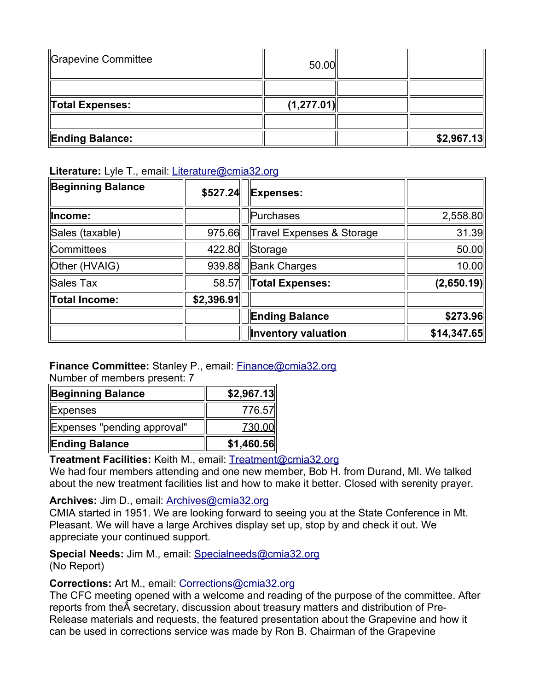| Grapevine Committee    | 50.00      |            |
|------------------------|------------|------------|
|                        |            |            |
| Total Expenses:        | (1,277.01) |            |
|                        |            |            |
| <b>Ending Balance:</b> |            | \$2,967.13 |

## **Literature:** Lyle T., email: [Literature@cmia32.org](mailto:Literature@cmia32.org)

| <b>Beginning Balance</b> | \$527.24   | <b>Expenses:</b>                     |             |
|--------------------------|------------|--------------------------------------|-------------|
| Income:                  |            | Purchases                            | 2,558.80    |
| Sales (taxable)          | 975.66     | <b>Travel Expenses &amp; Storage</b> | 31.39       |
| Committees               | 422.80     | Storage                              | 50.00       |
| Other (HVAIG)            | 939.88     | <b>Bank Charges</b>                  | 10.00       |
| Sales Tax                | 58.57      | <b>Total Expenses:</b>               | (2,650.19)  |
| Total Income:            | \$2,396.91 |                                      |             |
|                          |            | <b>Ending Balance</b>                | \$273.96    |
|                          |            | <b>Inventory valuation</b>           | \$14,347.65 |

# **Finance Committee:** Stanley P., email: [Finance@cmia32.org](mailto:Finance@cmia32.org)

Number of members present: 7

| <b>Beginning Balance</b>    | \$2,967.13 |
|-----------------------------|------------|
| Expenses                    | 776.57     |
| Expenses "pending approval" | 730.00     |
| <b>Ending Balance</b>       | \$1,460.56 |

# **Treatment Facilities:** Keith M., email: [Treatment@cmia32.org](mailto:Treatment@cmia32.org)

We had four members attending and one new member, Bob H. from Durand, MI. We talked about the new treatment facilities list and how to make it better. Closed with serenity prayer.

## **Archives:** Jim D., email: [Archives@cmia32.org](mailto:Archives@cmia32.org)

CMIA started in 1951. We are looking forward to seeing you at the State Conference in Mt. Pleasant. We will have a large Archives display set up, stop by and check it out. We appreciate your continued support.

**Special Needs:** Jim M., email: [Specialneeds@cmia32.org](mailto:Specialneeds@cmia32.org) (No Report)

# **Corrections:** Art M., email: [Corrections@cmia32.org](mailto:Corrections@cmia32.org)

The CFC meeting opened with a welcome and reading of the purpose of the committee. After reports from theÂ secretary, discussion about treasury matters and distribution of Pre-Release materials and requests, the featured presentation about the Grapevine and how it can be used in corrections service was made by Ron B. Chairman of the Grapevine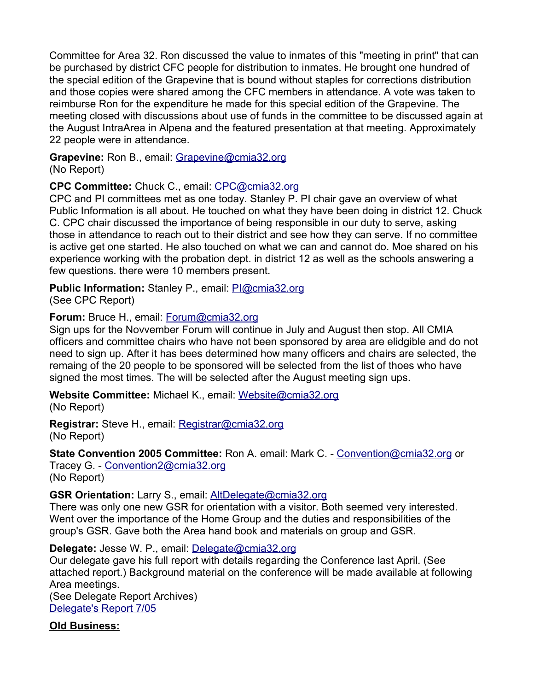Committee for Area 32. Ron discussed the value to inmates of this "meeting in print" that can be purchased by district CFC people for distribution to inmates. He brought one hundred of the special edition of the Grapevine that is bound without staples for corrections distribution and those copies were shared among the CFC members in attendance. A vote was taken to reimburse Ron for the expenditure he made for this special edition of the Grapevine. The meeting closed with discussions about use of funds in the committee to be discussed again at the August IntraArea in Alpena and the featured presentation at that meeting. Approximately 22 people were in attendance.

**Grapevine:** Ron B., email: [Grapevine@cmia32.org](mailto:Grapevine@cmia32.org) (No Report)

## **CPC Committee:** Chuck C., email: [CPC@cmia32.org](mailto:cpc@cmia32.org)

CPC and PI committees met as one today. Stanley P. PI chair gave an overview of what Public Information is all about. He touched on what they have been doing in district 12. Chuck C. CPC chair discussed the importance of being responsible in our duty to serve, asking those in attendance to reach out to their district and see how they can serve. If no committee is active get one started. He also touched on what we can and cannot do. Moe shared on his experience working with the probation dept. in district 12 as well as the schools answering a few questions. there were 10 members present.

**Public Information:** Stanley P., email: [PI@cmia32.org](mailto:pi@cmia32.org) (See CPC Report)

## **Forum:** Bruce H., email: [Forum@cmia32.org](mailto:Forum@cmia32.org)

Sign ups for the Novvember Forum will continue in July and August then stop. All CMIA officers and committee chairs who have not been sponsored by area are elidgible and do not need to sign up. After it has bees determined how many officers and chairs are selected, the remaing of the 20 people to be sponsored will be selected from the list of thoes who have signed the most times. The will be selected after the August meeting sign ups.

**Website Committee:** Michael K., email: [Website@cmia32.org](mailto:Website@cmia32.org) (No Report)

**Registrar:** Steve H., email: [Registrar@cmia32.org](mailto:Registrar@cmia32.org) (No Report)

**State Convention 2005 Committee:** Ron A. email: Mark C. - [Convention@cmia32.org](mailto:Convention@cmia32.org) or Tracey G. - [Convention2@cmia32.org](mailto:Convention2@cmia32.org) (No Report)

## **GSR Orientation:** Larry S., email: [AltDelegate@cmia32.org](mailto:AltDelegate@cmia32.org)

There was only one new GSR for orientation with a visitor. Both seemed very interested. Went over the importance of the Home Group and the duties and responsibilities of the group's GSR. Gave both the Area hand book and materials on group and GSR.

#### **Delegate:** Jesse W. P., email: [Delegate@cmia32.org](mailto:Delegate@cmia32.org)

Our delegate gave his full report with details regarding the Conference last April. (See attached report.) Background material on the conference will be made available at following Area meetings.

(See Delegate Report Archives) [Delegate's Report](http://www.cmia32.org/Delegate_Reports/Delegate_report_07_05.htm) 7/05

## **Old Business:**